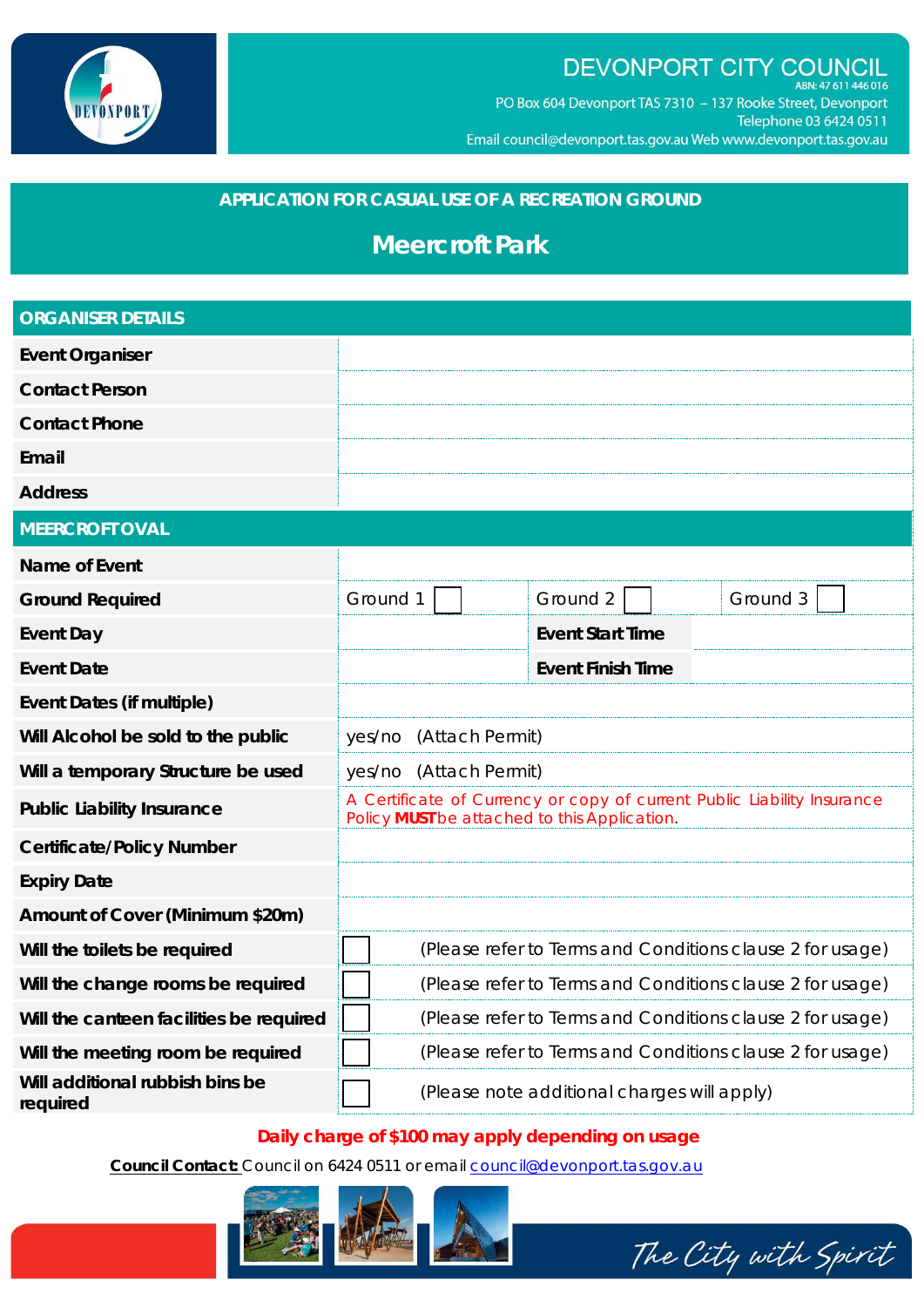

# DEVONPORT CITY COUNCIL

ABN: 47 611 446 016 PO Box 604 Devonport TAS 7310 - 137 Rooke Street, Devonport Telephone 03 6424 0511 Email council@devonport.tas.gov.au Web www.devonport.tas.gov.au

## **APPLICATION FOR CASUAL USE OF A RECREATION GROUND**

## **Meercroft Park**

| <b>ORGANISER DETAILS</b>                    |                                                                                                                         |  |  |                                             |  |          |
|---------------------------------------------|-------------------------------------------------------------------------------------------------------------------------|--|--|---------------------------------------------|--|----------|
| <b>Event Organiser</b>                      |                                                                                                                         |  |  |                                             |  |          |
| <b>Contact Person</b>                       |                                                                                                                         |  |  |                                             |  |          |
| <b>Contact Phone</b>                        |                                                                                                                         |  |  |                                             |  |          |
| Email                                       |                                                                                                                         |  |  |                                             |  |          |
| <b>Address</b>                              |                                                                                                                         |  |  |                                             |  |          |
| <b>MEERCROFT OVAL</b>                       |                                                                                                                         |  |  |                                             |  |          |
| Name of Event                               |                                                                                                                         |  |  |                                             |  |          |
| <b>Ground Required</b>                      | Ground 1                                                                                                                |  |  | Ground 2                                    |  | Ground 3 |
| <b>Event Day</b>                            |                                                                                                                         |  |  | <b>Event Start Time</b>                     |  |          |
| <b>Event Date</b>                           |                                                                                                                         |  |  | <b>Event Finish Time</b>                    |  |          |
| Event Dates (if multiple)                   |                                                                                                                         |  |  |                                             |  |          |
| Will Alcohol be sold to the public          | (Attach Permit)<br>yes/no                                                                                               |  |  |                                             |  |          |
| Will a temporary Structure be used          | (Attach Permit)<br>yes/no                                                                                               |  |  |                                             |  |          |
| <b>Public Liability Insurance</b>           | A Certificate of Currency or copy of current Public Liability Insurance<br>Policy MUST be attached to this Application. |  |  |                                             |  |          |
| <b>Certificate/Policy Number</b>            |                                                                                                                         |  |  |                                             |  |          |
| <b>Expiry Date</b>                          |                                                                                                                         |  |  |                                             |  |          |
| Amount of Cover (Minimum \$20m)             |                                                                                                                         |  |  |                                             |  |          |
| Will the toilets be required                | (Please refer to Terms and Conditions clause 2 for usage)                                                               |  |  |                                             |  |          |
| Will the change rooms be required           | (Please refer to Terms and Conditions clause 2 for usage)                                                               |  |  |                                             |  |          |
| Will the canteen facilities be required     | (Please refer to Terms and Conditions clause 2 for usage)                                                               |  |  |                                             |  |          |
| Will the meeting room be required           | (Please refer to Terms and Conditions clause 2 for usage)                                                               |  |  |                                             |  |          |
| Will additional rubbish bins be<br>required |                                                                                                                         |  |  | (Please note additional charges will apply) |  |          |

## **Daily charge of \$100 may apply depending on usage**

**Council Contact:** Council on 6424 0511 or email council@devonport.tas.gov.au